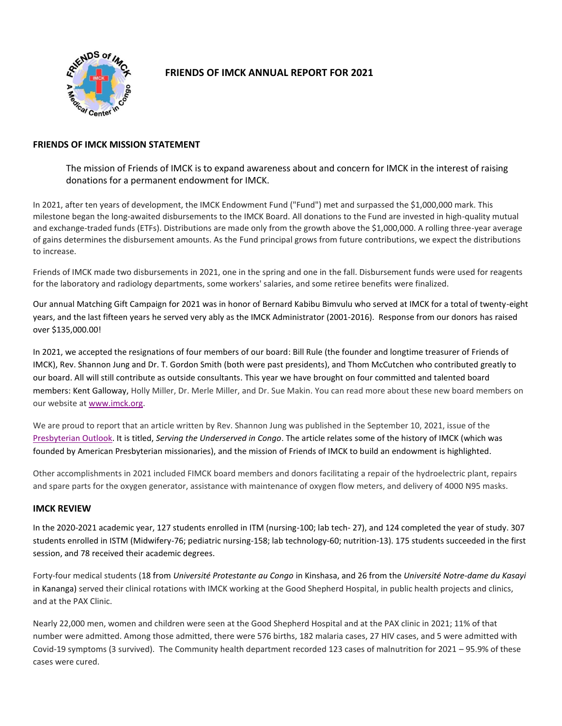

# **FRIENDS OF IMCK ANNUAL REPORT FOR 2021**

## **FRIENDS OF IMCK MISSION STATEMENT**

The mission of Friends of IMCK is to expand awareness about and concern for IMCK in the interest of raising donations for a permanent endowment for IMCK.

In 2021, after ten years of development, the IMCK Endowment Fund ("Fund") met and surpassed the \$1,000,000 mark. This milestone began the long-awaited disbursements to the IMCK Board. All donations to the Fund are invested in high-quality mutual and exchange-traded funds (ETFs). Distributions are made only from the growth above the \$1,000,000. A rolling three-year average of gains determines the disbursement amounts. As the Fund principal grows from future contributions, we expect the distributions to increase.

Friends of IMCK made two disbursements in 2021, one in the spring and one in the fall. Disbursement funds were used for reagents for the laboratory and radiology departments, some workers' salaries, and some retiree benefits were finalized.

Our annual Matching Gift Campaign for 2021 was in honor of Bernard Kabibu Bimvulu who served at IMCK for a total of twenty-eight years, and the last fifteen years he served very ably as the IMCK Administrator (2001-2016). Response from our donors has raised over \$135,000.00!

In 2021, we accepted the resignations of four members of our board: Bill Rule (the founder and longtime treasurer of Friends of IMCK), Rev. Shannon Jung and Dr. T. Gordon Smith (both were past presidents), and Thom McCutchen who contributed greatly to our board. All will still contribute as outside consultants. This year we have brought on four committed and talented board members: Kent Galloway, Holly Miller, Dr. Merle Miller, and Dr. Sue Makin. You can read more about these new board members on our website at [www.imck.org.](https://www.imck.org/)

We are proud to report that an article written by Rev. Shannon Jung was published in the September 10, 2021, issue of the [Presbyterian Outlook.](https://pres-outlook.org/2021/09/serving-the-underserved-in-congo/) It is titled, *Serving the Underserved in Congo*. The article relates some of the history of IMCK (which was founded by American Presbyterian missionaries), and the mission of Friends of IMCK to build an endowment is highlighted.

Other accomplishments in 2021 included FIMCK board members and donors facilitating a repair of the hydroelectric plant, repairs and spare parts for the oxygen generator, assistance with maintenance of oxygen flow meters, and delivery of 4000 N95 masks.

## **IMCK REVIEW**

In the 2020-2021 academic year, 127 students enrolled in ITM (nursing-100; lab tech- 27), and 124 completed the year of study. 307 students enrolled in ISTM (Midwifery-76; pediatric nursing-158; lab technology-60; nutrition-13). 175 students succeeded in the first session, and 78 received their academic degrees.

Forty-four medical students (18 from *Université Protestante au Congo* in Kinshasa, and 26 from the *Université Notre-dame du Kasayi* in Kananga) served their clinical rotations with IMCK working at the Good Shepherd Hospital, in public health projects and clinics, and at the PAX Clinic.

Nearly 22,000 men, women and children were seen at the Good Shepherd Hospital and at the PAX clinic in 2021; 11% of that number were admitted. Among those admitted, there were 576 births, 182 malaria cases, 27 HIV cases, and 5 were admitted with Covid-19 symptoms (3 survived). The Community health department recorded 123 cases of malnutrition for 2021 – 95.9% of these cases were cured.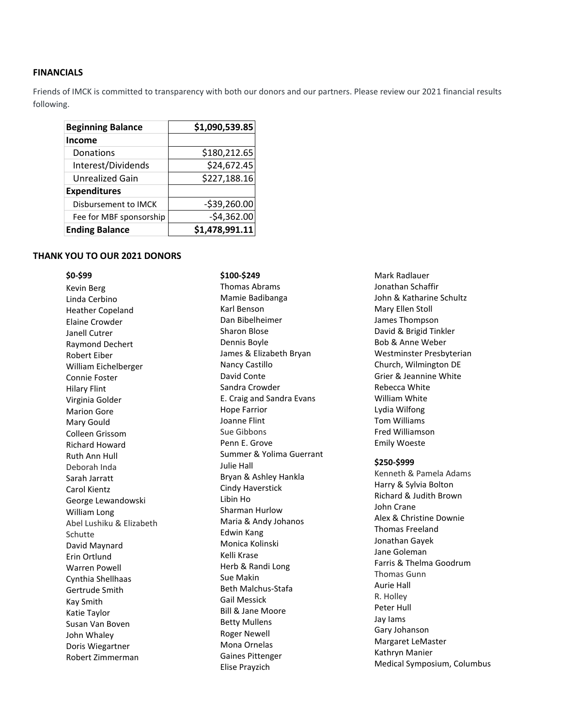### **FINANCIALS**

Friends of IMCK is committed to transparency with both our donors and our partners. Please review our 2021 financial results following.

| <b>Beginning Balance</b> | \$1,090,539.85 |
|--------------------------|----------------|
| <b>Income</b>            |                |
| Donations                | \$180,212.65   |
| Interest/Dividends       | \$24,672.45    |
| Unrealized Gain          | \$227,188.16   |
| <b>Expenditures</b>      |                |
| Disbursement to IMCK     | $-539,260.00$  |
| Fee for MBF sponsorship  | $-$4,362.00$   |
| <b>Ending Balance</b>    | \$1,478,991.11 |

### **THANK YOU TO OUR 2021 DONORS**

## **\$0-\$99** Kevin Berg Linda Cerbino Heather Copeland Elaine Crowder Janell Cutrer Raymond Dechert Robert Eiber William Eichelberger Connie Foster Hilary Flint Virginia Golder Marion Gore Mary Gould Colleen Grissom Richard Howard Ruth Ann Hull Deborah Inda Sarah Jarratt Carol Kientz George Lewandowski William Long Abel Lushiku & Elizabeth Schutte David Maynard Erin Ortlund Warren Powell Cynthia Shellhaas Gertrude Smith Kay Smith Katie Taylor Susan Van Boven John Whaley Doris Wiegartner Robert Zimmerman

#### **\$100-\$249**

Thomas Abrams Mamie Badibanga Karl Benson Dan Bibelheimer Sharon Blose Dennis Boyle James & Elizabeth Bryan Nancy Castillo David Conte Sandra Crowder E. Craig and Sandra Evans Hope Farrior Joanne Flint Sue Gibbons Penn E. Grove Summer & Yolima Guerrant Julie Hall Bryan & Ashley Hankla Cindy Haverstick Libin Ho Sharman Hurlow Maria & Andy Johanos Edwin Kang Monica Kolinski Kelli Krase Herb & Randi Long Sue Makin Beth Malchus-Stafa Gail Messick Bill & Jane Moore Betty Mullens Roger Newell Mona Ornelas Gaines Pittenger Elise Prayzich

Mark Radlauer Jonathan Schaffir John & Katharine Schultz Mary Ellen Stoll James Thompson David & Brigid Tinkler Bob & Anne Weber Westminster Presbyterian Church, Wilmington DE Grier & Jeannine White Rebecca White William White Lydia Wilfong Tom Williams Fred Williamson Emily Woeste

#### **\$250-\$999**

Kenneth & Pamela Adams Harry & Sylvia Bolton Richard & Judith Brown John Crane Alex & Christine Downie Thomas Freeland Jonathan Gayek Jane Goleman Farris & Thelma Goodrum Thomas Gunn Aurie Hall R. Holley Peter Hull Jay Iams Gary Johanson Margaret LeMaster Kathryn Manier Medical Symposium, Columbus